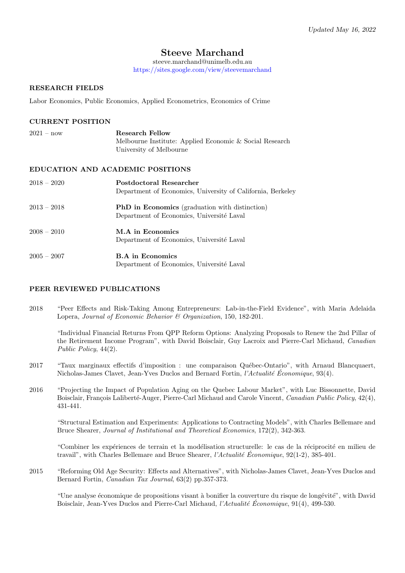# Steeve Marchand

steeve.marchand@unimelb.edu.au <https://sites.google.com/view/steevemarchand>

# RESEARCH FIELDS

Labor Economics, Public Economics, Applied Econometrics, Economics of Crime

# CURRENT POSITION

| $2021 - now$  | Research Fellow<br>Melbourne Institute: Applied Economic & Social Research                         |
|---------------|----------------------------------------------------------------------------------------------------|
|               | University of Melbourne                                                                            |
|               | <b>EDUCATION AND ACADEMIC POSITIONS</b>                                                            |
| $2018 - 2020$ | Postdoctoral Researcher<br>Department of Economics, University of California, Berkeley             |
| $2013 - 2018$ | <b>PhD</b> in Economics (graduation with distinction)<br>Department of Economics, Université Laval |
| $2008 - 2010$ | M.A in Economics<br>Department of Economics, Université Laval                                      |
| $2005 - 2007$ | <b>B.A</b> in Economics<br>Department of Economics, Université Laval                               |

# PEER REVIEWED PUBLICATIONS

2018 "Peer Effects and Risk-Taking Among Entrepreneurs: Lab-in-the-Field Evidence", with Maria Adelaida Lopera, Journal of Economic Behavior & Organization, 150, 182-201.

"Individual Financial Returns From QPP Reform Options: Analyzing Proposals to Renew the 2nd Pillar of the Retirement Income Program", with David Boisclair, Guy Lacroix and Pierre-Carl Michaud, Canadian Public Policy, 44(2).

- 2017 "Taux marginaux effectifs d'imposition : une comparaison Québec-Ontario", with Arnaud Blancquaert, Nicholas-James Clavet, Jean-Yves Duclos and Bernard Fortin, *l'Actualité Économique*,  $93(4)$ .
- 2016 "Projecting the Impact of Population Aging on the Quebec Labour Market", with Luc Bissonnette, David Boisclair, François Laliberté-Auger, Pierre-Carl Michaud and Carole Vincent, Canadian Public Policy, 42(4), 431-441.

"Structural Estimation and Experiments: Applications to Contracting Models", with Charles Bellemare and Bruce Shearer, Journal of Institutional and Theoretical Economics, 172(2), 342-363.

"Combiner les expériences de terrain et la modélisation structurelle: le cas de la réciprocité en milieu de travail", with Charles Bellemare and Bruce Shearer, *l'Actualité Économique*,  $92(1-2)$ ,  $385-401$ .

2015 "Reforming Old Age Security: Effects and Alternatives", with Nicholas-James Clavet, Jean-Yves Duclos and Bernard Fortin, Canadian Tax Journal, 63(2) pp.357-373.

"Une analyse économique de propositions visant à bonifier la couverture du risque de longévité", with David Boisclair, Jean-Yves Duclos and Pierre-Carl Michaud, *l'Actualité Économique*, 91(4), 499-530.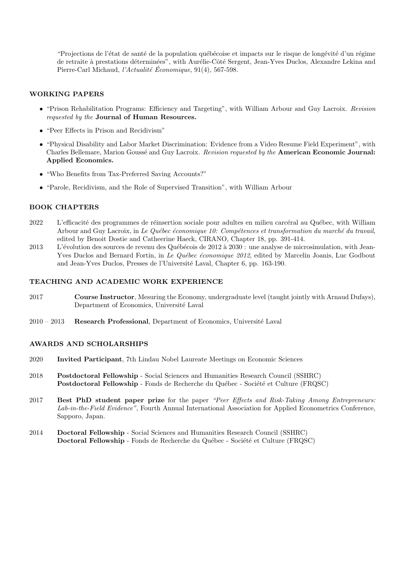"Projections de l'état de santé de la population québécoise et impacts sur le risque de longévité d'un régime de retraite à prestations déterminées", with Aurélie-Côté Sergent, Jean-Yves Duclos, Alexandre Lekina and Pierre-Carl Michaud, *l'Actualité Économique*, 91(4), 567-598.

# WORKING PAPERS

- "Prison Rehabilitation Programs: Efficiency and Targeting", with William Arbour and Guy Lacroix. Revision requested by the Journal of Human Resources.
- "Peer Effects in Prison and Recidivism"
- "Physical Disability and Labor Market Discrimination: Evidence from a Video Resume Field Experiment", with Charles Bellemare, Marion Goussé and Guy Lacroix. Revision requested by the American Economic Journal: Applied Economics.
- "Who Benefits from Tax-Preferred Saving Accounts?"
- "Parole, Recidivism, and the Role of Supervised Transition", with William Arbour

# BOOK CHAPTERS

- 2022 L'efficacité des programmes de réinsertion sociale pour adultes en milieu carcéral au Québec, with William Arbour and Guy Lacroix, in Le Québec économique 10: Compétences et transformation du marché du travail, edited by Benoit Dostie and Catheerine Haeck, CIRANO, Chapter 18, pp. 391-414.
- 2013 L'évolution des sources de revenu des Québécois de 2012 à 2030 : une analyse de microsimulation, with Jean-Yves Duclos and Bernard Fortin, in Le Québec économique 2012, edited by Marcelin Joanis, Luc Godbout and Jean-Yves Duclos, Presses de l'Université Laval, Chapter 6, pp. 163-190.

#### TEACHING AND ACADEMIC WORK EXPERIENCE

- 2017 Course Instructor, Mesuring the Economy, undergraduate level (taught jointly with Arnaud Dufays), Department of Economics, Université Laval
- $2010 2013$  Research Professional, Department of Economics, Université Laval

#### AWARDS AND SCHOLARSHIPS

- 2020 Invited Participant, 7th Lindau Nobel Laureate Meetings on Economic Sciences
- 2018 Postdoctoral Fellowship Social Sciences and Humanities Research Council (SSHRC) Postdoctoral Fellowship - Fonds de Recherche du Québec - Société et Culture (FRQSC)
- 2017 Best PhD student paper prize for the paper "Peer Effects and Risk-Taking Among Entrepreneurs: Lab-in-the-Field Evidence", Fourth Annual International Association for Applied Econometrics Conference, Sapporo, Japan.
- 2014 Doctoral Fellowship Social Sciences and Humanities Research Council (SSHRC) Doctoral Fellowship - Fonds de Recherche du Québec - Société et Culture (FRQSC)